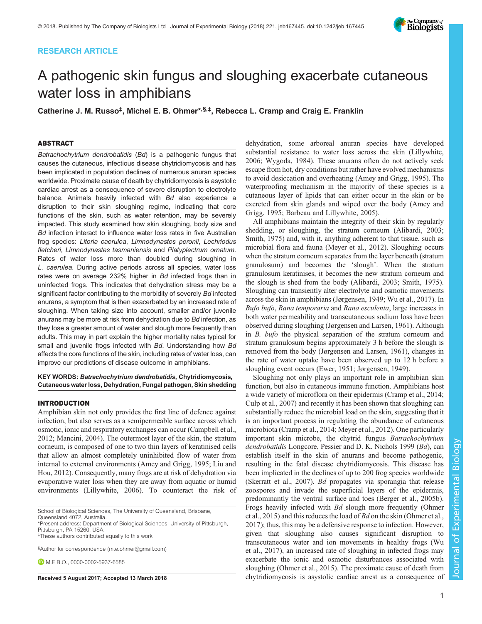# RESEARCH ARTICLE



# A pathogenic skin fungus and sloughing exacerbate cutaneous water loss in amphibians

Catherine J. M. Russo<sup>‡</sup>, Michel E. B. Ohmer\*<sup>,§,‡</sup>, Rebecca L. Cramp and Craig E. Franklin

# ABSTRACT

Batrachochytrium dendrobatidis (Bd) is a pathogenic fungus that causes the cutaneous, infectious disease chytridiomycosis and has been implicated in population declines of numerous anuran species worldwide. Proximate cause of death by chytridiomycosis is asystolic cardiac arrest as a consequence of severe disruption to electrolyte balance. Animals heavily infected with Bd also experience a disruption to their skin sloughing regime, indicating that core functions of the skin, such as water retention, may be severely impacted. This study examined how skin sloughing, body size and Bd infection interact to influence water loss rates in five Australian frog species: Litoria caerulea, Limnodynastes peronii, Lechriodus fletcheri, Limnodynastes tasmaniensis and Platyplectrum ornatum. Rates of water loss more than doubled during sloughing in L. caerulea. During active periods across all species, water loss rates were on average 232% higher in Bd infected frogs than in uninfected frogs. This indicates that dehydration stress may be a significant factor contributing to the morbidity of severely Bd infected anurans, a symptom that is then exacerbated by an increased rate of sloughing. When taking size into account, smaller and/or juvenile anurans may be more at risk from dehydration due to Bd infection, as they lose a greater amount of water and slough more frequently than adults. This may in part explain the higher mortality rates typical for small and juvenile frogs infected with Bd. Understanding how Bd affects the core functions of the skin, including rates of water loss, can improve our predictions of disease outcome in amphibians.

# KEY WORDS: Batrachochytrium dendrobatidis, Chytridiomycosis, Cutaneous water loss, Dehydration, Fungal pathogen, Skin shedding

# INTRODUCTION

Amphibian skin not only provides the first line of defence against infection, but also serves as a semipermeable surface across which osmotic, ionic and respiratory exchanges can occur [\(Campbell et al.,](#page-7-0) [2012](#page-7-0); [Mancini, 2004\)](#page-7-0). The outermost layer of the skin, the stratum corneum, is composed of one to two thin layers of keratinised cells that allow an almost completely uninhibited flow of water from internal to external environments [\(Amey and Grigg, 1995; Liu and](#page-7-0) [Hou, 2012\)](#page-7-0). Consequently, many frogs are at risk of dehydration via evaporative water loss when they are away from aquatic or humid environments [\(Lillywhite, 2006\)](#page-7-0). To counteract the risk of

School of Biological Sciences, The University of Queensland, Brisbane, Queensland 4072, Australia.

\*Present address: Department of Biological Sciences, University of Pittsburgh, Pittsburgh, PA 15260, USA.

‡ These authors contributed equally to this work

§ Author for correspondence ([m.e.ohmer@gmail.com\)](mailto:m.e.ohmer@gmail.com)

**D** M F B O [0000-0002-5937-6585](http://orcid.org/0000-0002-5937-6585)

dehydration, some arboreal anuran species have developed substantial resistance to water loss across the skin [\(Lillywhite,](#page-7-0) [2006;](#page-7-0) [Wygoda, 1984](#page-8-0)). These anurans often do not actively seek escape from hot, dry conditions but rather have evolved mechanisms to avoid desiccation and overheating ([Amey and Grigg, 1995\)](#page-7-0). The waterproofing mechanism in the majority of these species is a cutaneous layer of lipids that can either occur in the skin or be excreted from skin glands and wiped over the body ([Amey and](#page-7-0) [Grigg, 1995](#page-7-0); [Barbeau and Lillywhite, 2005\)](#page-7-0).

All amphibians maintain the integrity of their skin by regularly shedding, or sloughing, the stratum corneum [\(Alibardi, 2003](#page-7-0); [Smith, 1975\)](#page-7-0) and, with it, anything adherent to that tissue, such as microbial flora and fauna ([Meyer et al., 2012](#page-7-0)). Sloughing occurs when the stratum corneum separates from the layer beneath (stratum granulosum) and becomes the 'slough'. When the stratum granulosum keratinises, it becomes the new stratum corneum and the slough is shed from the body ([Alibardi, 2003; Smith, 1975\)](#page-7-0). Sloughing can transiently alter electrolyte and osmotic movements across the skin in amphibians [\(Jørgensen, 1949](#page-7-0); [Wu et al., 2017\)](#page-8-0). In Bufo bufo, Rana temporaria and Rana esculenta, large increases in both water permeability and transcutaneous sodium loss have been observed during sloughing ([Jørgensen and Larsen, 1961\)](#page-7-0). Although in B. bufo the physical separation of the stratum corneum and stratum granulosum begins approximately 3 h before the slough is removed from the body ([Jørgensen and Larsen, 1961\)](#page-7-0), changes in the rate of water uptake have been observed up to 12 h before a sloughing event occurs [\(Ewer, 1951; Jørgensen, 1949\)](#page-7-0).

Sloughing not only plays an important role in amphibian skin function, but also in cutaneous immune function. Amphibians host a wide variety of microflora on their epidermis ([Cramp et al., 2014](#page-7-0); [Culp et al., 2007\)](#page-7-0) and recently it has been shown that sloughing can substantially reduce the microbial load on the skin, suggesting that it is an important process in regulating the abundance of cutaneous microbiota [\(Cramp et al., 2014](#page-7-0); [Meyer et al., 2012](#page-7-0)). One particularly important skin microbe, the chytrid fungus Batrachochytrium dendrobatidis Longcore, Pessier and D. K. Nichols 1999 (Bd), can establish itself in the skin of anurans and become pathogenic, resulting in the fatal disease chytridiomycosis. This disease has been implicated in the declines of up to 200 frog species worldwide [\(Skerratt et al., 2007](#page-7-0)). Bd propagates via sporangia that release zoospores and invade the superficial layers of the epidermis, predominantly the ventral surface and toes ([Berger et al., 2005b\)](#page-7-0). Frogs heavily infected with Bd slough more frequently ([Ohmer](#page-7-0) [et al., 2015\)](#page-7-0) and this reduces the load of Bd on the skin [\(Ohmer et al.,](#page-7-0) [2017\)](#page-7-0); thus, this may be a defensive response to infection. However, given that sloughing also causes significant disruption to transcutaneous water and ion movements in healthy frogs [\(Wu](#page-8-0) [et al., 2017](#page-8-0)), an increased rate of sloughing in infected frogs may exacerbate the ionic and osmotic disturbances associated with sloughing ([Ohmer et al., 2015](#page-7-0)). The proximate cause of death from Received 5 August 2017; Accepted 13 March 2018 chytridiomycosis is asystolic cardiac arrest as a consequence of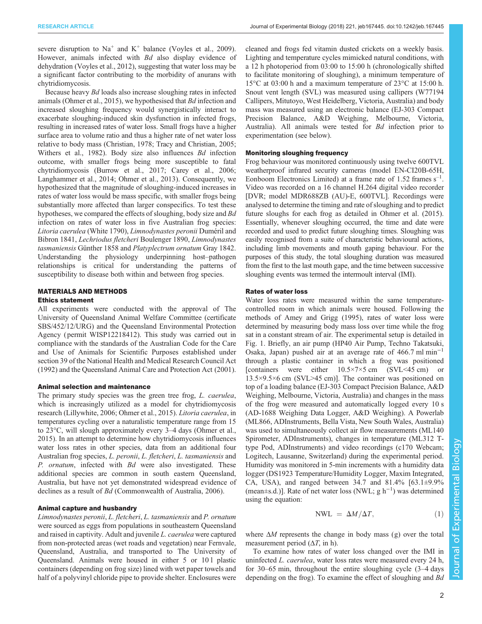severe disruption to  $Na^+$  and  $K^+$  balance [\(Voyles et al., 2009\)](#page-8-0). However, animals infected with Bd also display evidence of dehydration ([Voyles et al., 2012\)](#page-8-0), suggesting that water loss may be a significant factor contributing to the morbidity of anurans with chytridiomycosis.

Because heavy Bd loads also increase sloughing rates in infected animals [\(Ohmer et al., 2015](#page-7-0)), we hypothesised that Bd infection and increased sloughing frequency would synergistically interact to exacerbate sloughing-induced skin dysfunction in infected frogs, resulting in increased rates of water loss. Small frogs have a higher surface area to volume ratio and thus a higher rate of net water loss relative to body mass ([Christian, 1978](#page-7-0); [Tracy and Christian, 2005](#page-7-0); [Withers et al., 1982\)](#page-8-0). Body size also influences Bd infection outcome, with smaller frogs being more susceptible to fatal chytridiomycosis ([Burrow et al., 2017; Carey et al., 2006](#page-7-0); [Langhammer et al., 2014; Ohmer et al., 2013](#page-7-0)). Consequently, we hypothesized that the magnitude of sloughing-induced increases in rates of water loss would be mass specific, with smaller frogs being substantially more affected than larger conspecifics. To test these hypotheses, we compared the effects of sloughing, body size and Bd infection on rates of water loss in five Australian frog species: Litoria caerulea (White 1790), Limnodynastes peronii Duméril and Bibron 1841, Lechriodus fletcheri Boulenger 1890, Limnodynastes tasmaniensis Günther 1858 and Platyplectrum ornatum Gray 1842. Understanding the physiology underpinning host–pathogen relationships is critical for understanding the patterns of susceptibility to disease both within and between frog species.

# MATERIALS AND METHODS Ethics statement

All experiments were conducted with the approval of The University of Queensland Animal Welfare Committee (certificate SBS/452/12/URG) and the Queensland Environmental Protection Agency ( permit WISP12218412). This study was carried out in compliance with the standards of the Australian Code for the Care and Use of Animals for Scientific Purposes established under section 39 of the National Health and Medical Research Council Act (1992) and the Queensland Animal Care and Protection Act (2001).

#### Animal selection and maintenance

The primary study species was the green tree frog, L. caerulea, which is increasingly utilized as a model for chytridiomycosis research ([Lillywhite, 2006](#page-7-0); [Ohmer et al., 2015\)](#page-7-0). Litoria caerulea, in temperatures cycling over a naturalistic temperature range from 15 to 23°C, will slough approximately every 3–4 days ([Ohmer et al.,](#page-7-0) [2015](#page-7-0)). In an attempt to determine how chytridiomycosis influences water loss rates in other species, data from an additional four Australian frog species, L. peronii, L. fletcheri, L. tasmaniensis and P. ornatum, infected with Bd were also investigated. These additional species are common in south eastern Queensland, Australia, but have not yet demonstrated widespread evidence of declines as a result of Bd ([Commonwealth of Australia, 2006\)](#page-7-0).

# Animal capture and husbandry

Limnodynastes peronii, L. fletcheri, L. tasmaniensis and P. ornatum were sourced as eggs from populations in southeastern Queensland and raised in captivity. Adult and juvenile L. caerulea were captured from non-protected areas (wet roads and vegetation) near Fernvale, Queensland, Australia, and transported to The University of Queensland. Animals were housed in either 5 or 10 l plastic containers (depending on frog size) lined with wet paper towels and half of a polyvinyl chloride pipe to provide shelter. Enclosures were

cleaned and frogs fed vitamin dusted crickets on a weekly basis. Lighting and temperature cycles mimicked natural conditions, with a 12 h photoperiod from 03:00 to 15:00 h (chronologically shifted to facilitate monitoring of sloughing), a minimum temperature of 15°C at 03:00 h and a maximum temperature of 23°C at 15:00 h. Snout vent length (SVL) was measured using callipers (W77194 Callipers, Mitutoyo, West Heidelberg, Victoria, Australia) and body mass was measured using an electronic balance (EJ-303 Compact Precision Balance, A&D Weighing, Melbourne, Victoria, Australia). All animals were tested for Bd infection prior to experimentation (see below).

## Monitoring sloughing frequency

Frog behaviour was monitored continuously using twelve 600TVL weatherproof infrared security cameras (model EN-CI20B-65H, Eonboom Electronics Limited) at a frame rate of  $1.52$  frames  $s^{-1}$ . Video was recorded on a 16 channel H.264 digital video recorder [DVR; model MDR688ZB (AU)-E, 600TVL]. Recordings were analysed to determine the timing and rate of sloughing and to predict future sloughs for each frog as detailed in [Ohmer et al. \(2015\).](#page-7-0) Essentially, whenever sloughing occurred, the time and date were recorded and used to predict future sloughing times. Sloughing was easily recognised from a suite of characteristic behavioural actions, including limb movements and mouth gaping behaviour. For the purposes of this study, the total sloughing duration was measured from the first to the last mouth gape, and the time between successive sloughing events was termed the intermoult interval (IMI).

# Rates of water loss

Water loss rates were measured within the same temperaturecontrolled room in which animals were housed. Following the methods of [Amey and Grigg \(1995\)](#page-7-0), rates of water loss were determined by measuring body mass loss over time while the frog sat in a constant stream of air. The experimental setup is detailed in [Fig. 1.](#page-2-0) Briefly, an air pump (HP40 Air Pump, Techno Takatsuki, Osaka, Japan) pushed air at an average rate of 466.7 ml min<sup>-1</sup> through a plastic container in which a frog was positioned [containers were either  $10.5 \times 7 \times 5$  cm (SVL <45 cm) or 13.5×9.5×6 cm (SVL>45 cm)]. The container was positioned on top of a loading balance (EJ-303 Compact Precision Balance, A&D Weighing, Melbourne, Victoria, Australia) and changes in the mass of the frog were measured and automatically logged every 10 s (AD-1688 Weighing Data Logger, A&D Weighing). A Powerlab (ML866, ADInstruments, Bella Vista, New South Wales, Australia) was used to simultaneously collect air flow measurements (ML140 Spirometer, ADInstruments), changes in temperature (ML312 Ttype Pod, ADInstruments) and video recordings (c170 Webcam; Logitech, Lausanne, Switzerland) during the experimental period. Humidity was monitored in 5-min increments with a humidity data logger (DS1923 Temperature/Humidity Logger, Maxim Integrated, CA, USA), and ranged between  $34.7$  and  $81.4\%$   $[63.1\pm9.9\%$ (mean±s.d.)]. Rate of net water loss (NWL; g h−<sup>1</sup> ) was determined using the equation:

$$
NWL = \Delta M / \Delta T, \qquad (1)
$$

where  $\Delta M$  represents the change in body mass (g) over the total measurement period  $(\Delta T, \text{ in } h)$ .

To examine how rates of water loss changed over the IMI in uninfected L. caerulea, water loss rates were measured every 24 h, for 30–65 min, throughout the entire sloughing cycle (3–4 days depending on the frog). To examine the effect of sloughing and Bd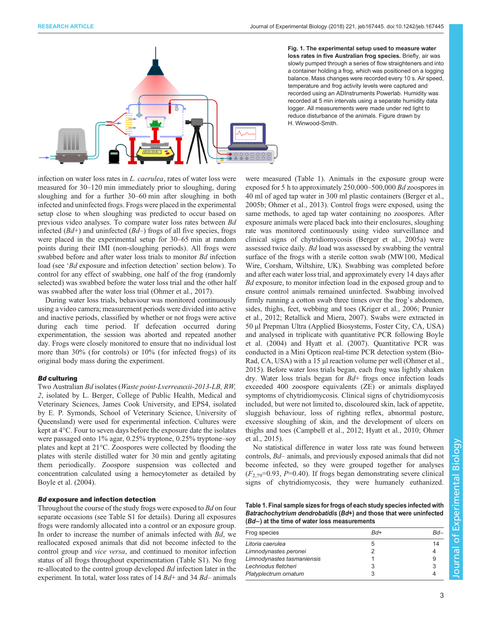<span id="page-2-0"></span>



Fig. 1. The experimental setup used to measure water loss rates in five Australian frog species. Briefly, air was slowly pumped through a series of flow straighteners and into a container holding a frog, which was positioned on a logging balance. Mass changes were recorded every 10 s. Air speed, temperature and frog activity levels were captured and recorded using an ADInstruments Powerlab. Humidity was recorded at 5 min intervals using a separate humidity data logger. All measurements were made under red light to reduce disturbance of the animals. Figure drawn by H. Winwood-Smith.

infection on water loss rates in L. caerulea, rates of water loss were measured for 30–120 min immediately prior to sloughing, during sloughing and for a further 30–60 min after sloughing in both infected and uninfected frogs. Frogs were placed in the experimental setup close to when sloughing was predicted to occur based on previous video analyses. To compare water loss rates between Bd infected  $(Bd<sup>+</sup>)$  and uninfected  $(Bd<sup>-</sup>)$  frogs of all five species, frogs were placed in the experimental setup for 30–65 min at random points during their IMI (non-sloughing periods). All frogs were swabbed before and after water loss trials to monitor Bd infection load (see '*Bd* exposure and infection detection' section below). To control for any effect of swabbing, one half of the frog (randomly selected) was swabbed before the water loss trial and the other half was swabbed after the water loss trial [\(Ohmer et al., 2017](#page-7-0)).

During water loss trials, behaviour was monitored continuously using a video camera; measurement periods were divided into active and inactive periods, classified by whether or not frogs were active during each time period. If defecation occurred during experimentation, the session was aborted and repeated another day. Frogs were closely monitored to ensure that no individual lost more than 30% (for controls) or 10% (for infected frogs) of its original body mass during the experiment.

# Bd culturing

Two Australian Bd isolates (Waste point-Lverreauxii-2013-LB, RW, 2, isolated by L. Berger, College of Public Health, Medical and Veterinary Sciences, James Cook University, and EPS4, isolated by E. P. Symonds, School of Veterinary Science, University of Queensland) were used for experimental infection. Cultures were kept at 4°C. Four to seven days before the exposure date the isolates were passaged onto 1% agar, 0.25% tryptone, 0.25% tryptone–soy plates and kept at 21°C. Zoospores were collected by flooding the plates with sterile distilled water for 30 min and gently agitating them periodically. Zoospore suspension was collected and concentration calculated using a hemocytometer as detailed by [Boyle et al. \(2004\).](#page-7-0)

# Bd exposure and infection detection

Throughout the course of the study frogs were exposed to Bd on four separate occasions (see [Table S1](http://jeb.biologists.org/lookup/doi/10.1242/jeb.167445.supplemental) for details). During all exposures frogs were randomly allocated into a control or an exposure group. In order to increase the number of animals infected with *Bd*, we reallocated exposed animals that did not become infected to the control group and vice versa, and continued to monitor infection status of all frogs throughout experimentation ([Table S1\)](http://jeb.biologists.org/lookup/doi/10.1242/jeb.167445.supplemental). No frog re-allocated to the control group developed Bd infection later in the experiment. In total, water loss rates of  $14$   $Bd+$  and  $34$   $Bd-$  animals

were measured (Table 1). Animals in the exposure group were exposed for 5 h to approximately 250,000–500,000 Bd zoospores in 40 ml of aged tap water in 300 ml plastic containers [\(Berger et al.,](#page-7-0) [2005b; Ohmer et al., 2013](#page-7-0)). Control frogs were exposed, using the same methods, to aged tap water containing no zoospores. After exposure animals were placed back into their enclosures, sloughing rate was monitored continuously using video surveillance and clinical signs of chytridiomycosis ([Berger et al., 2005a\)](#page-7-0) were assessed twice daily. Bd load was assessed by swabbing the ventral surface of the frogs with a sterile cotton swab (MW100, Medical Wire, Corsham, Wiltshire, UK). Swabbing was completed before and after each water loss trial, and approximately every 14 days after Bd exposure, to monitor infection load in the exposed group and to ensure control animals remained uninfected. Swabbing involved firmly running a cotton swab three times over the frog's abdomen, sides, thighs, feet, webbing and toes [\(Kriger et al., 2006](#page-7-0); [Prunier](#page-7-0) [et al., 2012; Retallick and Miera, 2007](#page-7-0)). Swabs were extracted in 50 µl Prepman Ultra (Applied Biosystems, Foster City, CA, USA) and analysed in triplicate with quantitative PCR following [Boyle](#page-7-0) [et al. \(2004\)](#page-7-0) and [Hyatt et al. \(2007\).](#page-7-0) Quantitative PCR was conducted in a Mini Opticon real-time PCR detection system (Bio-Rad, CA, USA) with a 15 µl reaction volume per well ([Ohmer et al.,](#page-7-0) [2015\)](#page-7-0). Before water loss trials began, each frog was lightly shaken dry. Water loss trials began for Bd+ frogs once infection loads exceeded 400 zoospore equivalents (ZE) or animals displayed symptoms of chytridiomycosis. Clinical signs of chytridiomycosis included, but were not limited to, discoloured skin, lack of appetite, sluggish behaviour, loss of righting reflex, abnormal posture, excessive sloughing of skin, and the development of ulcers on thighs and toes [\(Campbell et al., 2012](#page-7-0); [Hyatt et al., 2010](#page-7-0); [Ohmer](#page-7-0) [et al., 2015\)](#page-7-0).

No statistical difference in water loss rate was found between controls, Bd– animals, and previously exposed animals that did not become infected, so they were grouped together for analyses  $(F_{2,79}=0.93, P=0.40)$ . If frogs began demonstrating severe clinical signs of chytridiomycosis, they were humanely euthanized.

Table 1. Final sample sizes for frogs of each study species infected with Batrachochytrium dendrobatidis (Bd+) and those that were uninfected (Bd−) at the time of water loss measurements

| Frog species               | Bd+ |    |
|----------------------------|-----|----|
| Litoria caerulea           |     | 14 |
| Limnodynastes peronei      |     |    |
| Limnodynastes tasmaniensis |     | 9  |
| Lechriodus fletcheri       |     |    |
| Platyplectrum ornatum      |     |    |
|                            |     |    |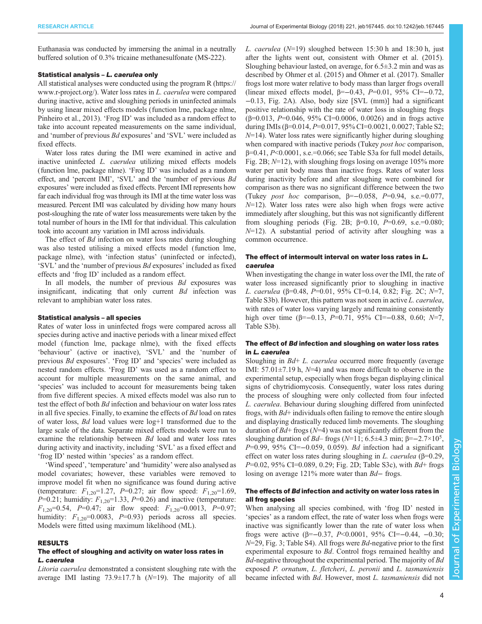Euthanasia was conducted by immersing the animal in a neutrally buffered solution of 0.3% tricaine methanesulfonate (MS-222).

# Statistical analysis – L. caerulea only

All statistical analyses were conducted using the program R ([https://](https://www.r-project.org/) [www.r-project.org/](https://www.r-project.org/)). Water loss rates in L. caerulea were compared during inactive, active and sloughing periods in uninfected animals by using linear mixed effects models (function lme, package nlme, [Pinheiro et al., 2013\)](#page-7-0). 'Frog ID' was included as a random effect to take into account repeated measurements on the same individual, and 'number of previous Bd exposures' and 'SVL' were included as fixed effects.

Water loss rates during the IMI were examined in active and inactive uninfected L. caerulea utilizing mixed effects models (function lme, package nlme). 'Frog ID' was included as a random effect, and 'percent IMI', 'SVL' and the 'number of previous Bd exposures' were included as fixed effects. Percent IMI represents how far each individual frog was through its IMI at the time water loss was measured. Percent IMI was calculated by dividing how many hours post-sloughing the rate of water loss measurements were taken by the total number of hours in the IMI for that individual. This calculation took into account any variation in IMI across individuals.

The effect of *Bd* infection on water loss rates during sloughing was also tested utilising a mixed effects model (function lme, package nlme), with 'infection status' (uninfected or infected), 'SVL' and the 'number of previous Bd exposures' included as fixed effects and 'frog ID' included as a random effect.

In all models, the number of previous Bd exposures was insignificant, indicating that only current Bd infection was relevant to amphibian water loss rates.

# Statistical analysis – all species

Rates of water loss in uninfected frogs were compared across all species during active and inactive periods with a linear mixed effect model (function lme, package nlme), with the fixed effects 'behaviour' (active or inactive), 'SVL' and the 'number of previous Bd exposures'. 'Frog ID' and 'species' were included as nested random effects. 'Frog ID' was used as a random effect to account for multiple measurements on the same animal, and 'species' was included to account for measurements being taken from five different species. A mixed effects model was also run to test the effect of both Bd infection and behaviour on water loss rates in all five species. Finally, to examine the effects of Bd load on rates of water loss, Bd load values were log+1 transformed due to the large scale of the data. Separate mixed effects models were run to examine the relationship between Bd load and water loss rates during activity and inactivity, including 'SVL' as a fixed effect and 'frog ID' nested within 'species' as a random effect.

'Wind speed', 'temperature' and 'humidity' were also analysed as model covariates; however, these variables were removed to improve model fit when no significance was found during active (temperature:  $F_{1,20}$ =1.27, P=0.27; air flow speed:  $F_{1,20}$ =1.69,  $P=0.21$ ; humidity:  $F_{1,20}=1.33$ ,  $P=0.26$ ) and inactive (temperature:  $F_{1,20}=0.54$ ,  $P=0.47$ ; air flow speed:  $F_{1,20}=0.0013$ ,  $P=0.97$ ; humidity:  $F_{1,20}$ =0.0083, P=0.93) periods across all species. Models were fitted using maximum likelihood (ML).

## RESULTS

## The effect of sloughing and activity on water loss rates in L. caerulea

Litoria caerulea demonstrated a consistent sloughing rate with the average IMI lasting  $73.9 \pm 17.7$  h ( $N=19$ ). The majority of all L. caerulea ( $N=19$ ) sloughed between 15:30 h and 18:30 h, just after the lights went out, consistent with [Ohmer et al. \(2015\).](#page-7-0) Sloughing behaviour lasted, on average, for  $6.5\pm3.2$  min and was as described by [Ohmer et al. \(2015\)](#page-7-0) and [Ohmer et al. \(2017\).](#page-7-0) Smaller frogs lost more water relative to body mass than larger frogs overall (linear mixed effects model,  $\beta$ =−0.43, P=0.01, 95% CI=−0.72, −0.13, [Fig. 2A](#page-4-0)). Also, body size [SVL (mm)] had a significant positive relationship with the rate of water loss in sloughing frogs ( $\beta$ =0.013, P=0.046, 95% CI=0.0006, 0.0026) and in frogs active during IMIs (β=0.014,  $P=0.017$ , 95% CI=0.0021, 0.0027; [Table S2](http://jeb.biologists.org/lookup/doi/10.1242/jeb.167445.supplemental);  $N=14$ ). Water loss rates were significantly higher during sloughing when compared with inactive periods (Tukey *post hoc* comparison,  $\beta$ =0.41, P<0.0001, s.e.=0.066; see [Table S3a](http://jeb.biologists.org/lookup/doi/10.1242/jeb.167445.supplemental) for full model details, [Fig. 2B](#page-4-0);  $N=12$ ), with sloughing frogs losing on average 105% more water per unit body mass than inactive frogs. Rates of water loss during inactivity before and after sloughing were combined for comparison as there was no significant difference between the two (Tukey *post hoc* comparison,  $\beta = -0.058$ ,  $P = 0.94$ , s.e.=0.077,  $N=12$ ). Water loss rates were also high when frogs were active immediately after sloughing, but this was not significantly different from sloughing periods ([Fig. 2B](#page-4-0);  $\beta$ =0.10,  $P$ =0.69, s.e.=0.080;  $N=12$ ). A substantial period of activity after sloughing was a common occurrence.

# The effect of intermoult interval on water loss rates in L. caerulea

When investigating the change in water loss over the IMI, the rate of water loss increased significantly prior to sloughing in inactive L. caerulea (β=0.48, P=0.01, 95% CI=0.14, 0.82; [Fig. 2C](#page-4-0); N=7, [Table S3b\)](http://jeb.biologists.org/lookup/doi/10.1242/jeb.167445.supplemental). However, this pattern was not seen in active L. caerulea, with rates of water loss varying largely and remaining consistently high over time (β=–0.13, P=0.71, 95% CI=–0.88, 0.60; N=7, [Table S3b\)](http://jeb.biologists.org/lookup/doi/10.1242/jeb.167445.supplemental).

# The effect of Bd infection and sloughing on water loss rates in L. caerulea

Sloughing in  $Bd+L$ . *caerulea* occurred more frequently (average IMI:  $57.01\pm7.19$  h,  $N=4$ ) and was more difficult to observe in the experimental setup, especially when frogs began displaying clinical signs of chytridiomycosis. Consequently, water loss rates during the process of sloughing were only collected from four infected L. caerulea. Behaviour during sloughing differed from uninfected frogs, with  $Bd+$  individuals often failing to remove the entire slough and displaying drastically reduced limb movements. The sloughing duration of  $Bd+$  frogs ( $N=4$ ) was not significantly different from the sloughing duration of *Bd*– frogs ( $N=11$ ; 6.5±4.3 min;  $\beta=-2.7\times10^5$ , P=0.99, 95% CI=-0.059, 0.059). Bd infection had a significant effect on water loss rates during sloughing in L. caerulea ( $\beta$ =0.29,  $P=0.02$ , 95% CI=0.089, 0.29; [Fig. 2D](#page-4-0); [Table S3c](http://jeb.biologists.org/lookup/doi/10.1242/jeb.167445.supplemental)), with  $Bd+$  frogs losing on average 121% more water than Bd− frogs.

# The effects of Bd infection and activity on water loss rates in all frog species

When analysing all species combined, with 'frog ID' nested in 'species' as a random effect, the rate of water loss when frogs were inactive was significantly lower than the rate of water loss when frogs were active ( $\beta$ =−0.37, P<0.0001, 95% CI=−0.44, −0.30;  $N=29$ , [Fig. 3](#page-5-0); [Table S4\)](http://jeb.biologists.org/lookup/doi/10.1242/jeb.167445.supplemental). All frogs were *Bd*-negative prior to the first experimental exposure to Bd. Control frogs remained healthy and  $Bd$ -negative throughout the experimental period. The majority of  $Bd$ exposed P. ornatum, L. fletcheri, L. peronii and L. tasmaniensis became infected with Bd. However, most L. tasmaniensis did not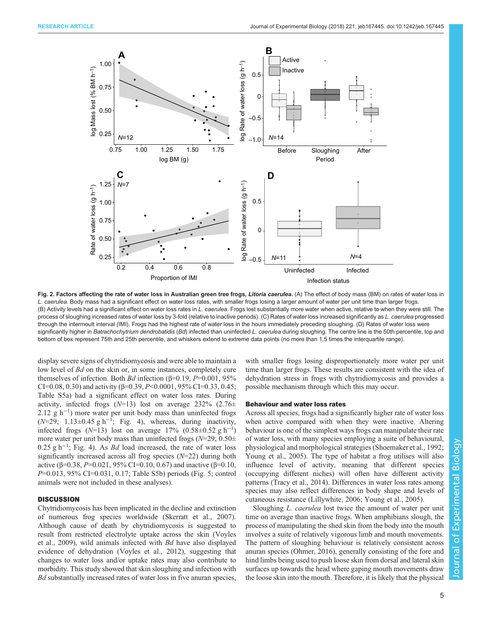<span id="page-4-0"></span>

Fig. 2. Factors affecting the rate of water loss in Australian green tree frogs, Litoria caerulea. (A) The effect of body mass (BM) on rates of water loss in L. caerulea. Body mass had a significant effect on water loss rates, with smaller frogs losing a larger amount of water per unit time than larger frogs. (B) Activity levels had a significant effect on water loss rates in L. caerulea. Frogs lost substantially more water when active, relative to when they were still. The process of sloughing increased rates of water loss by 3-fold (relative to inactive periods). (C) Rates of water loss increased significantly as L. caerulea progressed through the intermoult interval (IMI). Frogs had the highest rate of water loss in the hours immediately preceding sloughing. (D) Rates of water loss were significantly higher in Batrachochytrium dendrobatidis (Bd) infected than uninfected L. caerulea during sloughing. The centre line is the 50th percentile, top and bottom of box represent 75th and 25th percentile, and whiskers extend to extreme data points (no more than 1.5 times the interquartile range).

display severe signs of chytridiomycosis and were able to maintain a low level of *Bd* on the skin or, in some instances, completely cure themselves of infection. Both Bd infection ( $\beta$ =0.19, P=0.001, 95%) CI=0.08, 0.30) and activity (β=0.39, P<0.0001, 95% CI=0.33, 0.45; [Table S5a\)](http://jeb.biologists.org/lookup/doi/10.1242/jeb.167445.supplemental) had a significant effect on water loss rates. During activity, infected frogs  $(N=13)$  lost on average 232% (2.76 $\pm$  $2.12 \text{ g h}^{-1}$ ) more water per unit body mass than uninfected frogs  $(N=29; 1.13\pm0.45 \text{ g h}^{-1};$  [Fig. 4\)](#page-5-0), whereas, during inactivity, infected frogs ( $N=13$ ) lost on average 17% (0.58±0.52 g h<sup>-1</sup>) more water per unit body mass than uninfected frogs  $(N=29; 0.50\pm$  $0.25$  g h<sup>-1</sup>; [Fig. 4](#page-5-0)). As *Bd* load increased, the rate of water loss significantly increased across all frog species  $(N=22)$  during both active (β=0.38, P=0.021, 95% CI=0.10, 0.67) and inactive (β=0.10, P=0.013, 95% CI=0.031, 0.17; [Table S5b\)](http://jeb.biologists.org/lookup/doi/10.1242/jeb.167445.supplemental) periods [\(Fig. 5](#page-6-0); control animals were not included in these analyses).

# **DISCUSSION**

Chytridiomycosis has been implicated in the decline and extinction of numerous frog species worldwide ([Skerratt et al., 2007\)](#page-7-0). Although cause of death by chytridiomycosis is suggested to result from restricted electrolyte uptake across the skin [\(Voyles](#page-8-0) [et al., 2009\)](#page-8-0), wild animals infected with Bd have also displayed evidence of dehydration ([Voyles et al., 2012\)](#page-8-0), suggesting that changes to water loss and/or uptake rates may also contribute to morbidity. This study showed that skin sloughing and infection with Bd substantially increased rates of water loss in five anuran species, with smaller frogs losing disproportionately more water per unit time than larger frogs. These results are consistent with the idea of dehydration stress in frogs with chytridiomycosis and provides a possible mechanism through which this may occur.

# Behaviour and water loss rates

Across all species, frogs had a significantly higher rate of water loss when active compared with when they were inactive. Altering behaviour is one of the simplest ways frogs can manipulate their rate of water loss, with many species employing a suite of behavioural, physiological and morphological strategies ([Shoemaker et al., 1992](#page-7-0); [Young et al., 2005\)](#page-8-0). The type of habitat a frog utilises will also influence level of activity, meaning that different species (occupying different niches) will often have different activity patterns [\(Tracy et al., 2014\)](#page-8-0). Differences in water loss rates among species may also reflect differences in body shape and levels of cutaneous resistance ([Lillywhite, 2006;](#page-7-0) [Young et al., 2005](#page-8-0)).

Sloughing L. caerulea lost twice the amount of water per unit time on average than inactive frogs. When amphibians slough, the process of manipulating the shed skin from the body into the mouth involves a suite of relatively vigorous limb and mouth movements. The pattern of sloughing behaviour is relatively consistent across anuran species ([Ohmer, 2016\)](#page-7-0), generally consisting of the fore and hind limbs being used to push loose skin from dorsal and lateral skin surfaces up towards the head where gaping mouth movements draw the loose skin into the mouth. Therefore, it is likely that the physical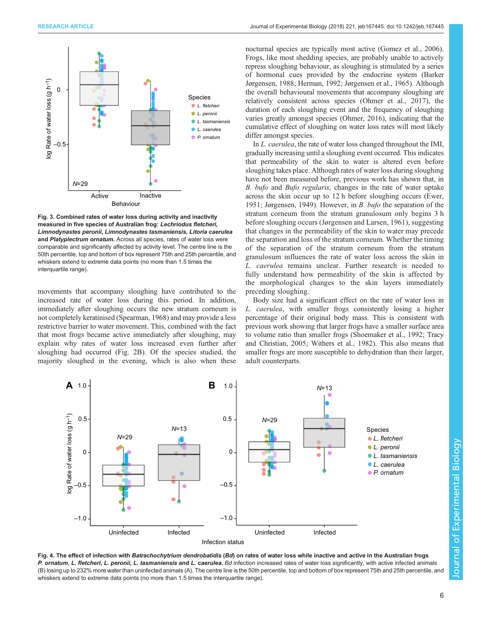<span id="page-5-0"></span>

Fig. 3. Combined rates of water loss during activity and inactivity measured in five species of Australian frog: Lechriodus fletcheri, Limnodynastes peronii, Limnodynastes tasmaniensis, Litoria caerulea and Platyplectrum ornatum. Across all species, rates of water loss were comparable and significantly affected by activity level. The centre line is the 50th percentile, top and bottom of box represent 75th and 25th percentile, and whiskers extend to extreme data points (no more than 1.5 times the interquartile range).

movements that accompany sloughing have contributed to the increased rate of water loss during this period. In addition, immediately after sloughing occurs the new stratum corneum is not completely keratinised ([Spearman, 1968\)](#page-7-0) and may provide a less restrictive barrier to water movement. This, combined with the fact that most frogs became active immediately after sloughing, may explain why rates of water loss increased even further after sloughing had occurred ([Fig. 2](#page-4-0)B). Of the species studied, the majority sloughed in the evening, which is also when these nocturnal species are typically most active [\(Gomez et al., 2006\)](#page-7-0). Frogs, like most shedding species, are probably unable to actively repress sloughing behaviour, as sloughing is stimulated by a series of hormonal cues provided by the endocrine system ([Barker](#page-7-0) [Jørgensen, 1988; Herman, 1992; Jørgensen et al., 1965](#page-7-0)). Although the overall behavioural movements that accompany sloughing are relatively consistent across species ([Ohmer et al., 2017](#page-7-0)), the duration of each sloughing event and the frequency of sloughing varies greatly amongst species [\(Ohmer, 2016\)](#page-7-0), indicating that the cumulative effect of sloughing on water loss rates will most likely differ amongst species.

In L. caerulea, the rate of water loss changed throughout the IMI, gradually increasing until a sloughing event occurred. This indicates that permeability of the skin to water is altered even before sloughing takes place. Although rates of water loss during sloughing have not been measured before, previous work has shown that, in B. bufo and Bufo regularis, changes in the rate of water uptake across the skin occur up to 12 h before sloughing occurs ([Ewer,](#page-7-0) [1951; Jørgensen, 1949](#page-7-0)). However, in B. bufo the separation of the stratum corneum from the stratum granulosum only begins 3 h before sloughing occurs ([Jørgensen and Larsen, 1961](#page-7-0)), suggesting that changes in the permeability of the skin to water may precede the separation and loss of the stratum corneum. Whether the timing of the separation of the stratum corneum from the stratum granulosum influences the rate of water loss across the skin in L. caerulea remains unclear. Further research is needed to fully understand how permeability of the skin is affected by the morphological changes to the skin layers immediately preceding sloughing.

Body size had a significant effect on the rate of water loss in L. caerulea, with smaller frogs consistently losing a higher percentage of their original body mass. This is consistent with previous work showing that larger frogs have a smaller surface area to volume ratio than smaller frogs [\(Shoemaker et al., 1992](#page-7-0); [Tracy](#page-7-0) [and Christian, 2005;](#page-7-0) [Withers et al., 1982\)](#page-8-0). This also means that smaller frogs are more susceptible to dehydration than their larger, adult counterparts.



Fig. 4. The effect of infection with Batrachochytrium dendrobatidis (Bd) on rates of water loss while inactive and active in the Australian frogs P. ornatum, L. fletcheri, L. peronii, L. tasmaniensis and L. caerulea. Bd infection increased rates of water loss significantly, with active infected animals (B) losing up to 232% more water than uninfected animals (A). The centre line is the 50th percentile, top and bottom of box represent 75th and 25th percentile, and whiskers extend to extreme data points (no more than 1.5 times the interquartile range).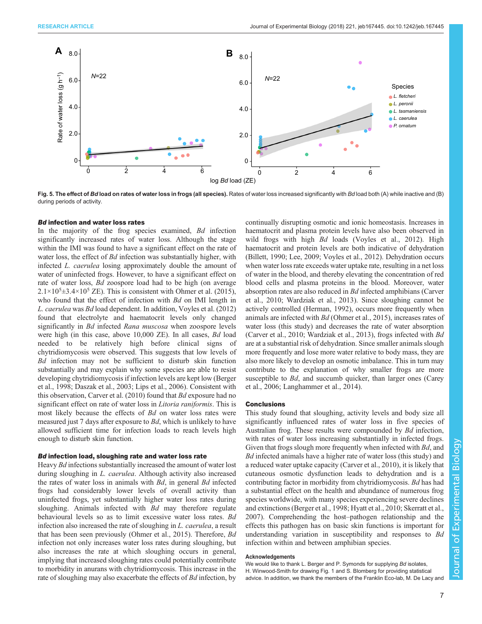<span id="page-6-0"></span>

Fig. 5. The effect of Bd load on rates of water loss in frogs (all species). Rates of water loss increased significantly with Bd load both (A) while inactive and (B) during periods of activity.

#### Bd infection and water loss rates

In the majority of the frog species examined, Bd infection significantly increased rates of water loss. Although the stage within the IMI was found to have a significant effect on the rate of water loss, the effect of *Bd* infection was substantially higher, with infected L. caerulea losing approximately double the amount of water of uninfected frogs. However, to have a significant effect on rate of water loss, Bd zoospore load had to be high (on average  $2.1 \times 10^5 \pm 3.4 \times 10^5$  ZE). This is consistent with [Ohmer et al. \(2015\),](#page-7-0) who found that the effect of infection with Bd on IMI length in L. caerulea was Bd load dependent. In addition, [Voyles et al. \(2012\)](#page-8-0) found that electrolyte and haematocrit levels only changed significantly in *Bd* infected Rana muscosa when zoospore levels were high (in this case, above 10,000 ZE). In all cases, Bd load needed to be relatively high before clinical signs of chytridiomycosis were observed. This suggests that low levels of Bd infection may not be sufficient to disturb skin function substantially and may explain why some species are able to resist developing chytridiomycosis if infection levels are kept low [\(Berger](#page-7-0) [et al., 1998](#page-7-0); [Daszak et al., 2003](#page-7-0); [Lips et al., 2006\)](#page-7-0). Consistent with this observation, [Carver et al. \(2010\)](#page-7-0) found that Bd exposure had no significant effect on rate of water loss in Litoria raniformis. This is most likely because the effects of Bd on water loss rates were measured just 7 days after exposure to Bd, which is unlikely to have allowed sufficient time for infection loads to reach levels high enough to disturb skin function.

# Bd infection load, sloughing rate and water loss rate

Heavy Bd infections substantially increased the amount of water lost during sloughing in L. caerulea. Although activity also increased the rates of water loss in animals with Bd, in general Bd infected frogs had considerably lower levels of overall activity than uninfected frogs, yet substantially higher water loss rates during sloughing. Animals infected with Bd may therefore regulate behavioural levels so as to limit excessive water loss rates. Bd infection also increased the rate of sloughing in L. caerulea, a result that has been seen previously ([Ohmer et al., 2015](#page-7-0)). Therefore, Bd infection not only increases water loss rates during sloughing, but also increases the rate at which sloughing occurs in general, implying that increased sloughing rates could potentially contribute to morbidity in anurans with chytridiomycosis. This increase in the rate of sloughing may also exacerbate the effects of Bd infection, by

continually disrupting osmotic and ionic homeostasis. Increases in haematocrit and plasma protein levels have also been observed in wild frogs with high *Bd* loads [\(Voyles et al., 2012\)](#page-8-0). High haematocrit and protein levels are both indicative of dehydration [\(Billett, 1990](#page-7-0); [Lee, 2009;](#page-7-0) [Voyles et al., 2012](#page-8-0)). Dehydration occurs when water loss rate exceeds water uptake rate, resulting in a net loss of water in the blood, and thereby elevating the concentration of red blood cells and plasma proteins in the blood. Moreover, water absorption rates are also reduced in Bd infected amphibians ([Carver](#page-7-0) [et al., 2010;](#page-7-0) [Wardziak et al., 2013\)](#page-8-0). Since sloughing cannot be actively controlled ([Herman, 1992](#page-7-0)), occurs more frequently when animals are infected with Bd [\(Ohmer et al., 2015\)](#page-7-0), increases rates of water loss (this study) and decreases the rate of water absorption [\(Carver et al., 2010](#page-7-0); [Wardziak et al., 2013\)](#page-8-0), frogs infected with Bd are at a substantial risk of dehydration. Since smaller animals slough more frequently and lose more water relative to body mass, they are also more likely to develop an osmotic imbalance. This in turn may contribute to the explanation of why smaller frogs are more susceptible to *Bd*, and succumb quicker, than larger ones ([Carey](#page-7-0) [et al., 2006; Langhammer et al., 2014](#page-7-0)).

# Conclusions

This study found that sloughing, activity levels and body size all significantly influenced rates of water loss in five species of Australian frog. These results were compounded by Bd infection, with rates of water loss increasing substantially in infected frogs. Given that frogs slough more frequently when infected with *Bd*, and Bd infected animals have a higher rate of water loss (this study) and a reduced water uptake capacity [\(Carver et al., 2010\)](#page-7-0), it is likely that cutaneous osmotic dysfunction leads to dehydration and is a contributing factor in morbidity from chytridiomycosis. Bd has had a substantial effect on the health and abundance of numerous frog species worldwide, with many species experiencing severe declines and extinctions [\(Berger et al., 1998](#page-7-0); [Hyatt et al., 2010; Skerratt et al.,](#page-7-0) [2007\)](#page-7-0). Comprehending the host–pathogen relationship and the effects this pathogen has on basic skin functions is important for understanding variation in susceptibility and responses to Bd infection within and between amphibian species.

#### Acknowledgements

We would like to thank L. Berger and P. Symonds for supplying Bd isolates, H. Winwood-Smith for drawing [Fig. 1](#page-2-0) and S. Blomberg for providing statistical advice. In addition, we thank the members of the Franklin Eco-lab, M. De Lacy and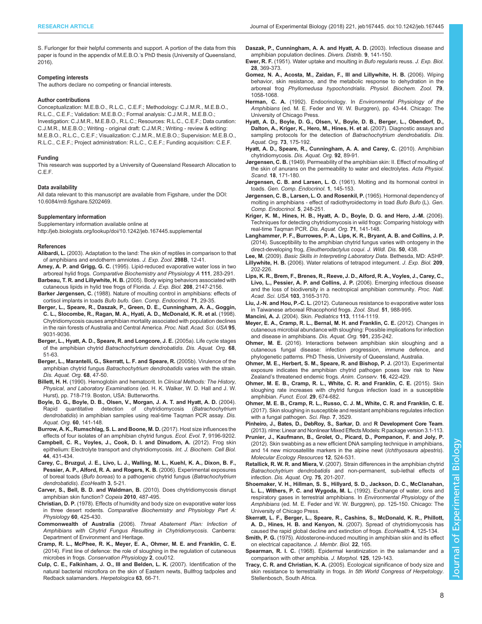<span id="page-7-0"></span>S. Furlonger for their helpful comments and support. A portion of the data from this paper is found in the appendix of M.E.B.O.'s PhD thesis (University of Queensland, 2016).

# Competing interests

The authors declare no competing or financial interests.

#### Author contributions

Conceptualization: M.E.B.O., R.L.C., C.E.F.; Methodology: C.J.M.R., M.E.B.O., R.L.C., C.E.F.; Validation: M.E.B.O.; Formal analysis: C.J.M.R., M.E.B.O.; Investigation: C.J.M.R., M.E.B.O., R.L.C.; Resources: R.L.C., C.E.F.; Data curation: C.J.M.R., M.E.B.O.; Writing - original draft: C.J.M.R.; Writing - review & editing: M.E.B.O., R.L.C., C.E.F.; Visualization: C.J.M.R., M.E.B.O.; Supervision: M.E.B.O., R.L.C., C.E.F.; Project administration: R.L.C., C.E.F.; Funding acquisition: C.E.F.

#### Funding

This research was supported by a University of Queensland Research Allocation to C.E.F.

#### Data availability

All data relevant to this manuscript are available from Figshare, under the DOI: 10.6084/m9.figshare.5202469.

#### Supplementary information

Supplementary information available online at <http://jeb.biologists.org/lookup/doi/10.1242/jeb.167445.supplemental>

#### References

- Alibardi, L. [\(2003\). Adaptation to the land: The skin of reptiles in comparison to that](http://dx.doi.org/10.1002/jez.b.24) [of amphibians and endotherm amniotes.](http://dx.doi.org/10.1002/jez.b.24) J. Exp. Zool. 298B, 12-41.
- Amey, A. P. and Grigg, G. C. [\(1995\). Lipid-reduced evaporative water loss in two](http://dx.doi.org/10.1016/0300-9629(94)00213-D) arboreal hylid frogs. [Comparative Biochemistry and Physiology A](http://dx.doi.org/10.1016/0300-9629(94)00213-D) 111, 283-291.
- Barbeau, T. R. and Lillywhite, H. B. [\(2005\). Body wiping behaviors associated with](http://dx.doi.org/10.1242/jeb.01623) [cutaneous lipids in hylid tree frogs of Florida.](http://dx.doi.org/10.1242/jeb.01623) J. Exp. Biol. 208, 2147-2156.
- Barker Jørgensen, C. [\(1988\). Nature of moulting control in amphibians: effects of](http://dx.doi.org/10.1016/0016-6480(88)90291-2) [cortisol implants in toads](http://dx.doi.org/10.1016/0016-6480(88)90291-2) Bufo bufo. Gen. Comp. Endocrinol. 71, 29-35.
- [Berger, L., Speare, R., Daszak, P., Green, D. E., Cunningham, A. A., Goggin,](http://dx.doi.org/10.1073/pnas.95.15.9031) [C. L., Slocombe, R., Ragan, M. A., Hyati, A. D., McDonald, K. R. et al.](http://dx.doi.org/10.1073/pnas.95.15.9031) (1998). [Chytridiomycosis causes amphibian mortality associated with population declines](http://dx.doi.org/10.1073/pnas.95.15.9031) [in the rain forests of Australia and Central America.](http://dx.doi.org/10.1073/pnas.95.15.9031) Proc. Natl. Acad. Sci. USA 95, [9031-9036.](http://dx.doi.org/10.1073/pnas.95.15.9031)
- [Berger, L., Hyatt, A. D., Speare, R. and Longcore, J. E.](http://dx.doi.org/10.3354/dao068051) (2005a). Life cycle stages of the amphibian chytrid [Batrachochytrium dendrobatidis](http://dx.doi.org/10.3354/dao068051). Dis. Aquat. Org. 68, [51-63.](http://dx.doi.org/10.3354/dao068051)
- [Berger, L., Marantelli, G., Skerratt, L. F. and Speare, R.](http://dx.doi.org/10.3354/dao068047) (2005b). Virulence of the amphibian chytrid fungus [Batrachochytrium dendrobatidis](http://dx.doi.org/10.3354/dao068047) varies with the strain. [Dis. Aquat. Org.](http://dx.doi.org/10.3354/dao068047) 68, 47-50.
- Billett, H. H. (1990). Hemoglobin and hematocrit. In Clinical Methods: The History, Physical, and Laboratory Examinations (ed. H. K. Walker, W. D. Hall and J. W. Hurst), pp. 718-719. Boston, USA: Butterworths.
- [Boyle, D. G., Boyle, D. B., Olsen, V., Morgan, J. A. T. and Hyatt, A. D.](http://dx.doi.org/10.3354/dao060141) (2004). [Rapid quantitative detection of chytridiomycosis \(](http://dx.doi.org/10.3354/dao060141)Batrachochytrium dendrobatidis[\) in amphibian samples using real-time Taqman PCR assay.](http://dx.doi.org/10.3354/dao060141) Dis. [Aquat. Org.](http://dx.doi.org/10.3354/dao060141) 60, 141-148.
- [Burrow, A. K., Rumschlag, S. L. and Boone, M. D.](http://dx.doi.org/10.1002/ece3.3255) (2017). Host size influences the [effects of four isolates of an amphibian chytrid fungus.](http://dx.doi.org/10.1002/ece3.3255) Ecol. Evol. 7, 9196-9202.
- [Campbell, C. R., Voyles, J., Cook, D. I. and Dinudom, A.](http://dx.doi.org/10.1016/j.biocel.2011.12.002) (2012). Frog skin [epithelium: Electrolyte transport and chytridiomycosis.](http://dx.doi.org/10.1016/j.biocel.2011.12.002) Int. J. Biochem. Cell Biol. 44[, 431-434.](http://dx.doi.org/10.1016/j.biocel.2011.12.002)
- [Carey, C., Bruzgul, J. E., Livo, L. J., Walling, M. L., Kuehl, K. A., Dixon, B. F.,](http://dx.doi.org/10.1007/s10393-005-0006-4) [Pessier, A. P., Alford, R. A. and Rogers, K. B.](http://dx.doi.org/10.1007/s10393-005-0006-4) (2006). Experimental exposures of boreal toads (Bufo boreas[\) to a pathogenic chytrid fungus \(](http://dx.doi.org/10.1007/s10393-005-0006-4)Batrachochytrium [dendrobatidis](http://dx.doi.org/10.1007/s10393-005-0006-4)). EcoHealth 3, 5-21.
- [Carver, S., Bell, B. D. and Waldman, B.](http://dx.doi.org/10.1643/CH-09-128) (2010). Does chytridiomycosis disrupt [amphibian skin function?](http://dx.doi.org/10.1643/CH-09-128) Copeia 2010, 487-495.
- Christian, D. P. [\(1978\). Effects of humidity and body size on evaporative water loss](http://dx.doi.org/10.1016/0300-9629(78)90011-7) in three desert rodents. [Comparative Biochemistry and Physiology Part A:](http://dx.doi.org/10.1016/0300-9629(78)90011-7) [Physiology](http://dx.doi.org/10.1016/0300-9629(78)90011-7) 60, 425-430.
- Commonwealth of Australia (2006). Threat Abatement Plan: Infection of Amphibians with Chytrid Fungus Resulting in Chytridiomycosis. Canberra: Department of Environment and Heritage.
- [Cramp, R. L., McPhee, R. K., Meyer, E. A., Ohmer, M. E. and Franklin, C. E.](http://dx.doi.org/10.1093/conphys/cou012) [\(2014\). First line of defence: the role of sloughing in the regulation of cutaneous](http://dx.doi.org/10.1093/conphys/cou012) microbes in frogs. [Conservation Physiology](http://dx.doi.org/10.1093/conphys/cou012) 2, cou012.
- [Culp, C. E., Falkinham, J. O., III and Belden, L. K.](http://dx.doi.org/10.1655/0018-0831(2007)63[66:IOTNBM]2.0.CO;2) (2007). Identification of the [natural bacterial microflora on the skin of Eastern newts, Bullfrog tadpoles and](http://dx.doi.org/10.1655/0018-0831(2007)63[66:IOTNBM]2.0.CO;2) [Redback salamanders.](http://dx.doi.org/10.1655/0018-0831(2007)63[66:IOTNBM]2.0.CO;2) Herpetologica 63, 66-71.
- [Daszak, P., Cunningham, A. A. and Hyatt, A. D.](http://dx.doi.org/10.1046/j.1472-4642.2003.00016.x) (2003). Infectious disease and [amphibian population declines.](http://dx.doi.org/10.1046/j.1472-4642.2003.00016.x) Divers. Distrib. 9, 141-150.
- Ewer, R. F. (1951). Water uptake and moulting in Bufo regularis reuss. J. Exp. Biol. 28, 369-373.
- [Gomez, N. A., Acosta, M., Zaidan, F., III and Lillywhite, H. B.](http://dx.doi.org/10.1086/507659) (2006). Wiping [behavior, skin resistance, and the metabolic response to dehydration in the](http://dx.doi.org/10.1086/507659) arboreal frog [Phyllomedusa hypochondrialis](http://dx.doi.org/10.1086/507659). Physiol. Biochem. Zool. 79, [1058-1068.](http://dx.doi.org/10.1086/507659)
- Herman, C. A. (1992). Endocrinology. In Environmental Physiology of the Amphibians (ed. M. E. Feder and W. W. Burggren), pp. 43-44. Chicago: The University of Chicago Press.
- [Hyatt, A. D., Boyle, D. G., Olsen, V., Boyle, D. B., Berger, L., Obendorf, D.,](http://dx.doi.org/10.3354/dao073175) [Dalton, A., Kriger, K., Hero, M., Hines, H. et al.](http://dx.doi.org/10.3354/dao073175) (2007). Diagnostic assays and [sampling protocols for the detection of](http://dx.doi.org/10.3354/dao073175) Batrachochytrium dendrobatidis. Dis. [Aquat. Org.](http://dx.doi.org/10.3354/dao073175) 73, 175-192.
- [Hyatt, A. D., Speare, R., Cunningham, A. A. and Carey, C.](http://dx.doi.org/10.3354/dao02308) (2010). Amphibian [chytridiomycosis.](http://dx.doi.org/10.3354/dao02308) Dis. Aquat. Org. 92, 89-91.
- Jørgensen, C. B. [\(1949\). Permeability of the amphibian skin: II. Effect of moulting of](http://dx.doi.org/10.1111/j.1748-1716.1949.tb00609.x) [the skin of anurans on the permeability to water and electrolytes.](http://dx.doi.org/10.1111/j.1748-1716.1949.tb00609.x) Acta Physiol. Scand. 18[, 171-180.](http://dx.doi.org/10.1111/j.1748-1716.1949.tb00609.x)
- Jørgensen, C. B. and Larsen, L. O. [\(1961\). Molting and its hormonal control in](http://dx.doi.org/10.1016/0016-6480(61)90042-9) toads. [Gen. Comp. Endocrinol.](http://dx.doi.org/10.1016/0016-6480(61)90042-9) 1, 145-153.
- [Jørgensen, C. B., Larsen, L. O. and Rosenkil, P.](http://dx.doi.org/10.1016/0016-6480(65)90119-X) (1965). Hormonal dependency of [molting in amphibians - effect of radiothyroidectomy in toad](http://dx.doi.org/10.1016/0016-6480(65)90119-X) Bufo Bufo (L). Gen. [Comp. Endocrinol.](http://dx.doi.org/10.1016/0016-6480(65)90119-X) 5, 248-251.
- [Kriger, K. M., Hines, H. B., Hyatt, A. D., Boyle, D. G. and Hero, J.-M.](http://dx.doi.org/10.3354/dao071141) (2006). [Techniques for detecting chytridiomycosis in wild frogs: Comparing histology with](http://dx.doi.org/10.3354/dao071141) [real-time Taqman PCR.](http://dx.doi.org/10.3354/dao071141) Dis. Aquat. Org. 71, 141-148.
- [Langhammer, P. F., Burrowes, P. A., Lips, K. R., Bryant, A. B. and Collins, J. P.](http://dx.doi.org/10.7589/2013-10-268) [\(2014\). Susceptibility to the amphibian chytrid fungus varies with ontogeny in the](http://dx.doi.org/10.7589/2013-10-268) direct-developing frog, [Eleutherodactylus coqui](http://dx.doi.org/10.7589/2013-10-268). J. Wildl. Dis. 50, 438.
- Lee, M. (2009). Basic Skills in Interpreting Laboratory Data. Bethesda, MD: ASHP. Lillywhite, H. B. [\(2006\). Water relations of tetrapod integument.](http://dx.doi.org/10.1242/jeb.02007) J. Exp. Biol. 209, [202-226.](http://dx.doi.org/10.1242/jeb.02007)
- [Lips, K. R., Brem, F., Brenes, R., Reeve, J. D., Alford, R. A., Voyles, J., Carey, C.,](http://dx.doi.org/10.1073/pnas.0506889103) [Livo, L., Pessier, A. P. and Collins, J. P.](http://dx.doi.org/10.1073/pnas.0506889103) (2006). Emerging infectious disease [and the loss of biodiversity in a neotropical amphibian community.](http://dx.doi.org/10.1073/pnas.0506889103) Proc. Natl. [Acad. Sci. USA](http://dx.doi.org/10.1073/pnas.0506889103) 103, 3165-3170.
- Liu, J.-N. and Hou, P.-C. L. (2012). Cutaneous resistance to evaporative water loss in Taiwanese arboreal Rhacophorid frogs. Zool. Stud. 51, 988-995.

Mancini, A. J. (2004). Skin. Pediatrics 113, 1114-1119.

- [Meyer, E. A., Cramp, R. L., Bernal, M. H. and Franklin, C. E.](http://dx.doi.org/10.3354/dao02523) (2012). Changes in [cutaneous microbial abundance with sloughing: Possible implications for infection](http://dx.doi.org/10.3354/dao02523) [and disease in amphibians.](http://dx.doi.org/10.3354/dao02523) Dis. Aquat. Org. 101, 235-242.
- Ohmer, M. E. (2016). Interactions between amphibian skin sloughing and a cutaneous fungal disease: infection progression, immune defence, and phylogenetic patterns. PhD Thesis, University of Queensland, Australia.
- [Ohmer, M. E., Herbert, S. M., Speare, R. and Bishop, P. J.](http://dx.doi.org/10.1111/acv.12010) (2013). Experimental [exposure indicates the amphibian chytrid pathogen poses low risk to New](http://dx.doi.org/10.1111/acv.12010) Zealand'[s threatened endemic frogs.](http://dx.doi.org/10.1111/acv.12010) Anim. Conserv. 16, 422-429.
- [Ohmer, M. E. B., Cramp, R. L., White, C. R. and Franklin, C. E.](http://dx.doi.org/10.1111/1365-2435.12370) (2015). Skin [sloughing rate increases with chytrid fungus infection load in a susceptible](http://dx.doi.org/10.1111/1365-2435.12370) amphibian. [Funct. Ecol.](http://dx.doi.org/10.1111/1365-2435.12370) 29, 674-682.
- [Ohmer, M. E. B., Cramp, R. L., Russo, C. J. M., White, C. R. and Franklin, C. E.](http://dx.doi.org/10.1038/s41598-017-03605-z) [\(2017\). Skin sloughing in susceptible and resistant amphibians regulates infection](http://dx.doi.org/10.1038/s41598-017-03605-z) [with a fungal pathogen.](http://dx.doi.org/10.1038/s41598-017-03605-z) Sci. Rep. 7, 3529.
- Pinheiro, J., Bates, D., DebRoy, S., Sarkar, D. and R Development Core Team. (2013). nlme: Linear and Nonlinear Mixed Effects Models: R package version 3.1-113.
- [Prunier, J., Kaufmann, B., Grolet, O., Picard, D., Pompanon, F. and Joly, P.](http://dx.doi.org/10.1111/j.1755-0998.2012.03116.x) [\(2012\). Skin swabbing as a new efficient DNA sampling technique in amphibians,](http://dx.doi.org/10.1111/j.1755-0998.2012.03116.x) [and 14 new microsatellite markers in the alpine newt \(](http://dx.doi.org/10.1111/j.1755-0998.2012.03116.x)Ichthyosaura alpestris). [Molecular Ecology Resources](http://dx.doi.org/10.1111/j.1755-0998.2012.03116.x) 12, 524-531.
- Retallick, R. W. R. and Miera, V. [\(2007\). Strain differences in the amphibian chytrid](http://dx.doi.org/10.3354/dao075201) Batrachochytrium dendrobatidis [and non-permanent, sub-lethal effects of](http://dx.doi.org/10.3354/dao075201) infection. [Dis. Aquat. Org.](http://dx.doi.org/10.3354/dao075201) 75, 201-207.
- Shoemaker, V. H., Hillman, S. S., Hillyard, S. D., Jackson, D. C., McClanahan, L. L., Withers, P. C. and Wygoda, M. L. (1992). Exchange of water, ions and respiratory gases in terrestrial amphibians. In Environmental Physiology of the Amphibians (ed. M. E. Feder and W. W. Burggren), pp. 125-150. Chicago: The University of Chicago Press.

[Skerratt, L. F., Berger, L., Speare, R., Cashins, S., McDonald, K. R., Phillott,](http://dx.doi.org/10.1007/s10393-007-0093-5) A. D., Hines, H. B. and Kenyon, N. [\(2007\). Spread of chytridiomycosis has](http://dx.doi.org/10.1007/s10393-007-0093-5) [caused the rapid global decline and extinction of frogs.](http://dx.doi.org/10.1007/s10393-007-0093-5) EcoHealth 4, 125-134.

Smith, P. G. [\(1975\). Aldosterone-induced moulting in amphibian skin and its effect](http://dx.doi.org/10.1007/BF01868169) [on electrical capacitance.](http://dx.doi.org/10.1007/BF01868169) J. Membr. Biol. 22, 165.

- Spearman, R. I. C. [\(1968\). Epidermal keratinization in the salamander and a](http://dx.doi.org/10.1002/jmor.1051250202) [comparison with other amphibia.](http://dx.doi.org/10.1002/jmor.1051250202) J. Morphol. 125, 129-143.
- Tracy, C. R. and Christian, K. A. (2005). Ecological significance of body size and skin resistance to terrestriality in frogs. In 5th World Congress of Herpetology. Stellenbosch, South Africa.

Biology

Experimental

ō